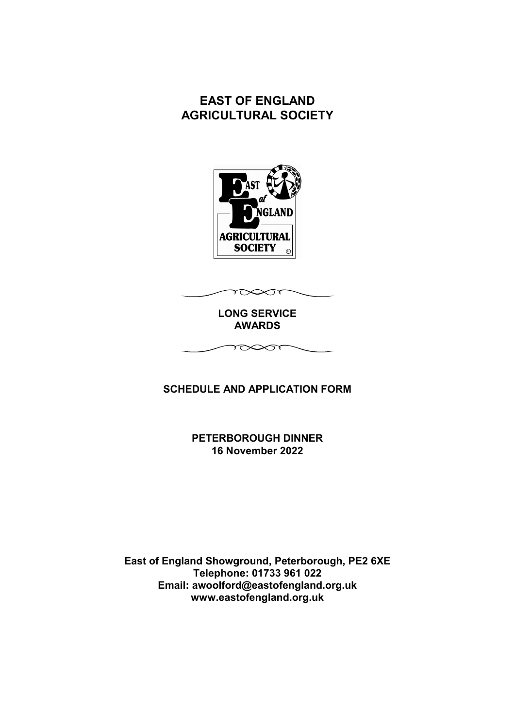# **EAST OF ENGLAND AGRICULTURAL SOCIETY**



 $\sim$ 

**LONG SERVICE AWARDS**

 $\sim$ 

# **SCHEDULE AND APPLICATION FORM**

**PETERBOROUGH DINNER 16 November 2022**

**East of England Showground, Peterborough, PE2 6XE Telephone: 01733 961 022 Email: awoolford@eastofengland.org.uk www.eastofengland.org.uk**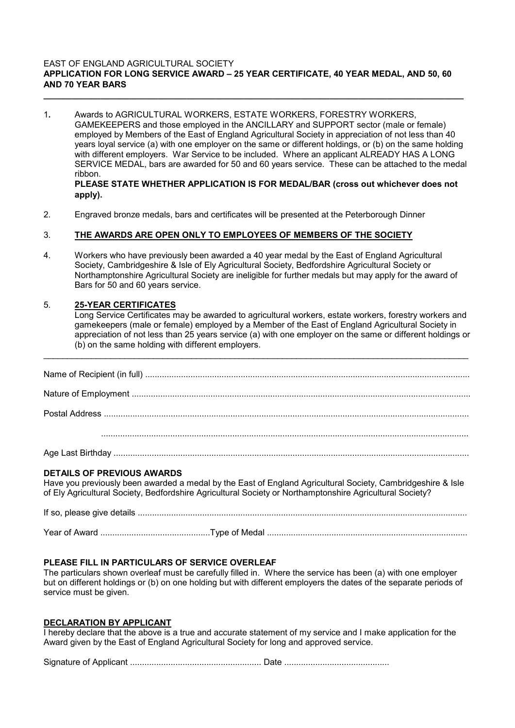#### **EAST OF ENGLAND AGRICULTURAL SOCIETY APPLICATION FOR LONG SERVICE AWARD – 25 YEAR CERTIFICATE, 40 YEAR MEDAL, AND 50, 60 AND 70 YEAR BARS**

**\_\_\_\_\_\_\_\_\_\_\_\_\_\_\_\_\_\_\_\_\_\_\_\_\_\_\_\_\_\_\_\_\_\_\_\_\_\_\_\_\_\_\_\_\_\_\_\_\_\_\_\_\_\_\_\_\_\_\_\_\_\_\_\_\_\_\_\_\_\_\_\_\_\_\_\_\_\_\_\_\_\_\_\_\_\_\_\_**

1**.** Awards to AGRICULTURAL WORKERS, ESTATE WORKERS, FORESTRY WORKERS, GAMEKEEPERS and those employed in the ANCILLARY and SUPPORT sector (male or female) employed by Members of the East of England Agricultural Society in appreciation of not less than 40 years loyal service (a) with one employer on the same or different holdings, or (b) on the same holding with different employers. War Service to be included. Where an applicant ALREADY HAS A LONG SERVICE MEDAL, bars are awarded for 50 and 60 years service. These can be attached to the medal ribbon. **PLEASE STATE WHETHER APPLICATION IS FOR MEDAL/BAR (cross out whichever does not**

# **apply).**

2. Engraved bronze medals, bars and certificates will be presented at the Peterborough Dinner

# 3. **THE AWARDS ARE OPEN ONLY TO EMPLOYEES OF MEMBERS OF THE SOCIETY**

4. Workers who have previously been awarded a 40 year medal by the East of England Agricultural Society, Cambridgeshire & Isle of Ely Agricultural Society, Bedfordshire Agricultural Society or Northamptonshire Agricultural Society are ineligible for further medals but may apply for the award of Bars for 50 and 60 years service.

# 5. **25-YEAR CERTIFICATES**

Long Service Certificates may be awarded to agricultural workers, estate workers, forestry workers and gamekeepers (male or female) employed by a Member of the East of England Agricultural Society in appreciation of not less than 25 years service (a) with one employer on the same or different holdings or (b) on the same holding with different employers.

\_\_\_\_\_\_\_\_\_\_\_\_\_\_\_\_\_\_\_\_\_\_\_\_\_\_\_\_\_\_\_\_\_\_\_\_\_\_\_\_\_\_\_\_\_\_\_\_\_\_\_\_\_\_\_\_\_\_\_\_\_\_\_\_\_\_\_\_\_\_\_\_\_\_\_\_\_\_\_\_\_\_\_\_\_\_\_\_\_

Postal Address .........................................................................................................................................................

..........................................................................................................................................................

Age Last Birthday .....................................................................................................................................................

#### **DETAILS OF PREVIOUS AWARDS**

Have you previously been awarded a medal by the East of England Agricultural Society, Cambridgeshire & Isle of Ely Agricultural Society, Bedfordshire Agricultural Society or Northamptonshire Agricultural Society?

If so, please give details .......................................................................................................................................... Year of Award ..............................................Type of Medal ....................................................................................

# **PLEASE FILL IN PARTICULARS OF SERVICE OVERLEAF**

The particulars shown overleaf must be carefully filled in. Where the service has been (a) with one employer but on different holdings or (b) on one holding but with different employers the dates of the separate periods of service must be given.

#### **DECLARATION BY APPLICANT**

I hereby declare that the above is a true and accurate statement of my service and I make application for the Award given by the East of England Agricultural Society for long and approved service.

Signature of Applicant ....................................................... Date ............................................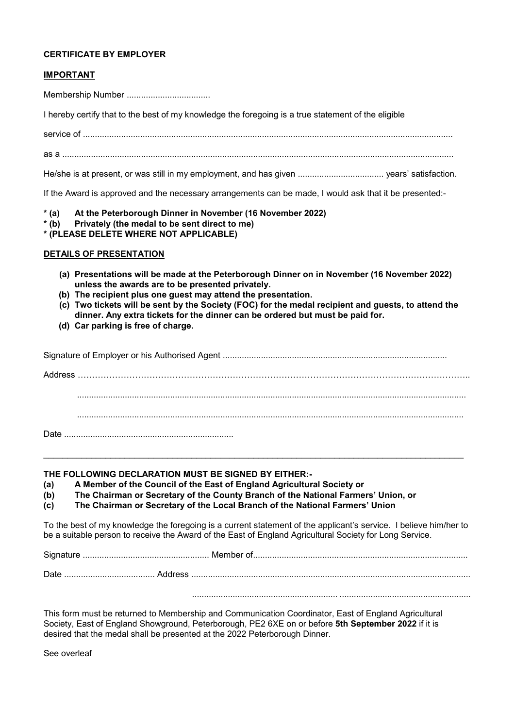## **CERTIFICATE BY EMPLOYER**

## **IMPORTANT**

Membership Number ...................................

I hereby certify that to the best of my knowledge the foregoing is a true statement of the eligible

service of ...........................................................................................................................................................

as a ....................................................................................................................................................................

He/she is at present, or was still in my employment, and has given .................................... years' satisfaction.

If the Award is approved and the necessary arrangements can be made, I would ask that it be presented:-

**\* (a) At the Peterborough Dinner in November (16 November 2022)**

- **\* (b) Privately (the medal to be sent direct to me)**
- **\* (PLEASE DELETE WHERE NOT APPLICABLE)**

## **DETAILS OF PRESENTATION**

- **(a) Presentations will be made at the Peterborough Dinner on in November (16 November 2022) unless the awards are to be presented privately.**
- **(b) The recipient plus one guest may attend the presentation.**
- **(c) Two tickets will be sent by the Society (FOC) for the medal recipient and guests, to attend the dinner. Any extra tickets for the dinner can be ordered but must be paid for.**
- **(d) Car parking is free of charge.**

\_\_\_\_\_\_\_\_\_\_\_\_\_\_\_\_\_\_\_\_\_\_\_\_\_\_\_\_\_\_\_\_\_\_\_\_\_\_\_\_\_\_\_\_\_\_\_\_\_\_\_\_\_\_\_\_\_\_\_\_\_\_\_\_\_\_\_\_\_\_\_\_\_\_\_\_\_\_\_\_\_\_\_\_\_\_\_\_

**THE FOLLOWING DECLARATION MUST BE SIGNED BY EITHER:-** 

**(a) A Member of the Council of the East of England Agricultural Society or**

**(b) The Chairman or Secretary of the County Branch of the National Farmers' Union, or**

**(c) The Chairman or Secretary of the Local Branch of the National Farmers' Union**

To the best of my knowledge the foregoing is a current statement of the applicant's service. I believe him/her to be a suitable person to receive the Award of the East of England Agricultural Society for Long Service.

Signature ..................................................... Member of..........................................................................................

Date ...................................... Address ........................................................................................... ..........................

....................................................... .............................................................

This form must be returned to Membership and Communication Coordinator, East of England Agricultural Society, East of England Showground, Peterborough, PE2 6XE on or before **5th September 2022** if it is desired that the medal shall be presented at the 2022 Peterborough Dinner.

See overleaf